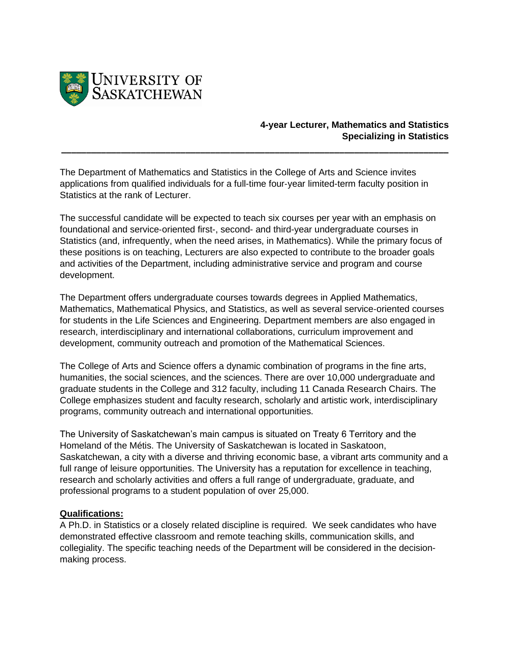

## **4-year Lecturer, Mathematics and Statistics Specializing in Statistics**

The Department of Mathematics and Statistics in the College of Arts and Science invites applications from qualified individuals for a full-time four‐year limited-term faculty position in Statistics at the rank of Lecturer.

**\_\_\_\_\_\_\_\_\_\_\_\_\_\_\_\_\_\_\_\_\_\_\_\_\_\_\_\_\_\_\_\_\_\_\_\_\_\_\_\_\_\_\_\_\_\_\_\_\_\_\_\_\_\_\_\_\_\_\_\_\_\_\_\_\_\_\_\_\_\_\_\_\_\_\_\_\_\_**

The successful candidate will be expected to teach six courses per year with an emphasis on foundational and service‐oriented first-, second- and third-year undergraduate courses in Statistics (and, infrequently, when the need arises, in Mathematics). While the primary focus of these positions is on teaching, Lecturers are also expected to contribute to the broader goals and activities of the Department, including administrative service and program and course development.

The Department offers undergraduate courses towards degrees in Applied Mathematics, Mathematics, Mathematical Physics, and Statistics, as well as several service‐oriented courses for students in the Life Sciences and Engineering. Department members are also engaged in research, interdisciplinary and international collaborations, curriculum improvement and development, community outreach and promotion of the Mathematical Sciences.

The College of Arts and Science offers a dynamic combination of programs in the fine arts, humanities, the social sciences, and the sciences. There are over 10,000 undergraduate and graduate students in the College and 312 faculty, including 11 Canada Research Chairs. The College emphasizes student and faculty research, scholarly and artistic work, interdisciplinary programs, community outreach and international opportunities.

The University of Saskatchewan's main campus is situated on Treaty 6 Territory and the Homeland of the Métis. The University of Saskatchewan is located in Saskatoon, Saskatchewan, a city with a diverse and thriving economic base, a vibrant arts community and a full range of leisure opportunities. The University has a reputation for excellence in teaching, research and scholarly activities and offers a full range of undergraduate, graduate, and professional programs to a student population of over 25,000.

## **Qualifications:**

A Ph.D. in Statistics or a closely related discipline is required. We seek candidates who have demonstrated effective classroom and remote teaching skills, communication skills, and collegiality. The specific teaching needs of the Department will be considered in the decisionmaking process.